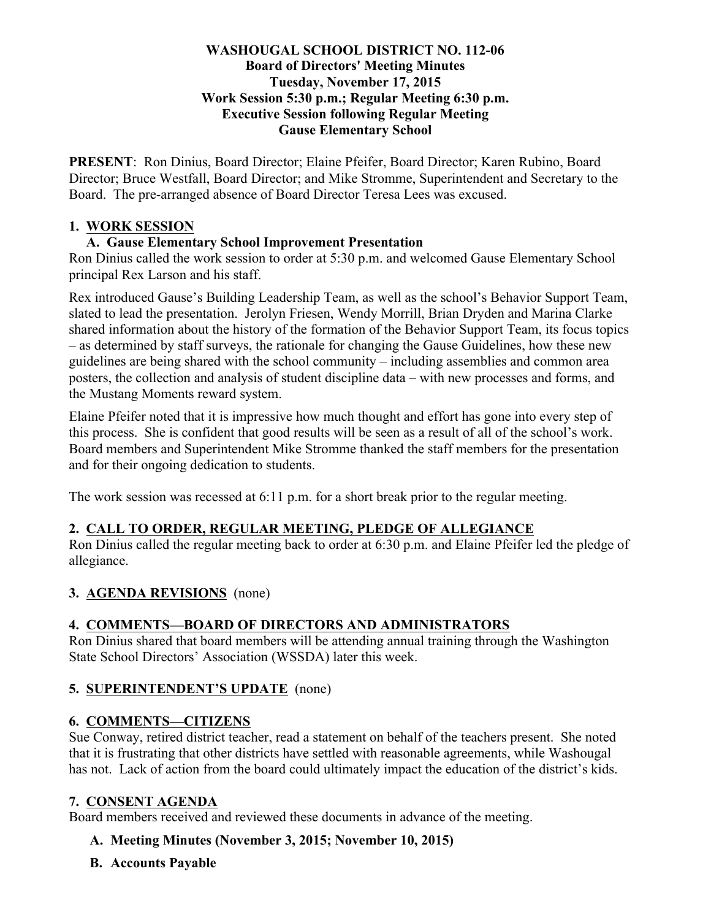#### **WASHOUGAL SCHOOL DISTRICT NO. 112-06 Board of Directors' Meeting Minutes Tuesday, November 17, 2015 Work Session 5:30 p.m.; Regular Meeting 6:30 p.m. Executive Session following Regular Meeting Gause Elementary School**

**PRESENT**: Ron Dinius, Board Director; Elaine Pfeifer, Board Director; Karen Rubino, Board Director; Bruce Westfall, Board Director; and Mike Stromme, Superintendent and Secretary to the Board. The pre-arranged absence of Board Director Teresa Lees was excused.

#### **1. WORK SESSION**

#### **A. Gause Elementary School Improvement Presentation**

Ron Dinius called the work session to order at 5:30 p.m. and welcomed Gause Elementary School principal Rex Larson and his staff.

Rex introduced Gause's Building Leadership Team, as well as the school's Behavior Support Team, slated to lead the presentation. Jerolyn Friesen, Wendy Morrill, Brian Dryden and Marina Clarke shared information about the history of the formation of the Behavior Support Team, its focus topics – as determined by staff surveys, the rationale for changing the Gause Guidelines, how these new guidelines are being shared with the school community – including assemblies and common area posters, the collection and analysis of student discipline data – with new processes and forms, and the Mustang Moments reward system.

Elaine Pfeifer noted that it is impressive how much thought and effort has gone into every step of this process. She is confident that good results will be seen as a result of all of the school's work. Board members and Superintendent Mike Stromme thanked the staff members for the presentation and for their ongoing dedication to students.

The work session was recessed at 6:11 p.m. for a short break prior to the regular meeting.

### **2. CALL TO ORDER, REGULAR MEETING, PLEDGE OF ALLEGIANCE**

Ron Dinius called the regular meeting back to order at 6:30 p.m. and Elaine Pfeifer led the pledge of allegiance.

### **3. AGENDA REVISIONS** (none)

### **4. COMMENTS—BOARD OF DIRECTORS AND ADMINISTRATORS**

Ron Dinius shared that board members will be attending annual training through the Washington State School Directors' Association (WSSDA) later this week.

### **5. SUPERINTENDENT'S UPDATE** (none)

### **6. COMMENTS—CITIZENS**

Sue Conway, retired district teacher, read a statement on behalf of the teachers present. She noted that it is frustrating that other districts have settled with reasonable agreements, while Washougal has not. Lack of action from the board could ultimately impact the education of the district's kids.

#### **7. CONSENT AGENDA**

Board members received and reviewed these documents in advance of the meeting.

- **A. Meeting Minutes (November 3, 2015; November 10, 2015)**
- **B. Accounts Payable**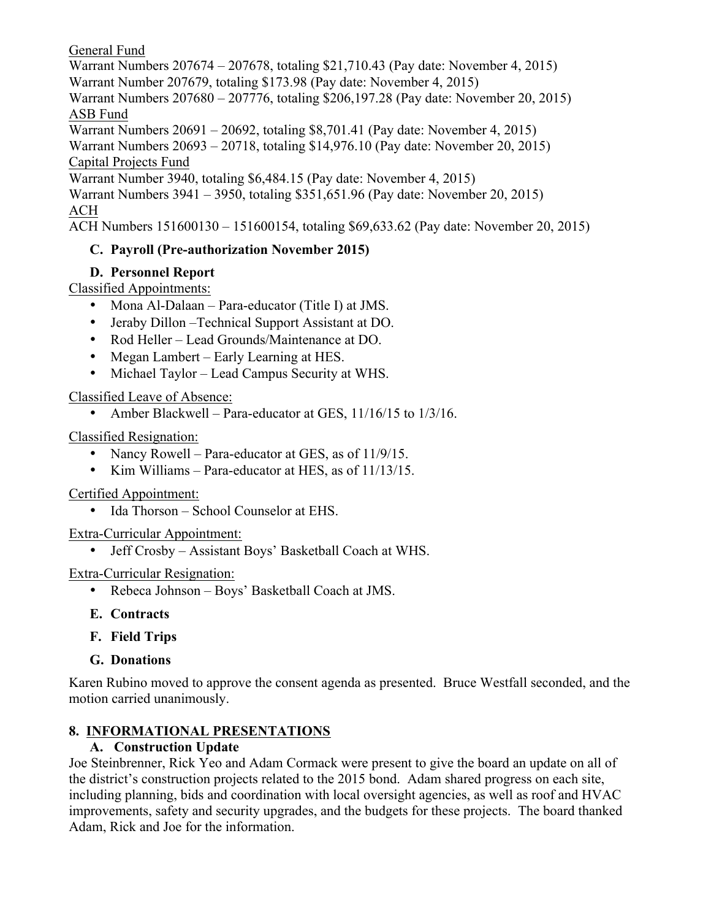### General Fund

Warrant Numbers 207674 – 207678, totaling \$21,710.43 (Pay date: November 4, 2015) Warrant Number 207679, totaling \$173.98 (Pay date: November 4, 2015) Warrant Numbers 207680 – 207776, totaling \$206,197.28 (Pay date: November 20, 2015) ASB Fund Warrant Numbers 20691 – 20692, totaling \$8,701.41 (Pay date: November 4, 2015) Warrant Numbers 20693 – 20718, totaling \$14,976.10 (Pay date: November 20, 2015) Capital Projects Fund Warrant Number 3940, totaling \$6,484.15 (Pay date: November 4, 2015) Warrant Numbers 3941 – 3950, totaling \$351,651.96 (Pay date: November 20, 2015) ACH

ACH Numbers 151600130 – 151600154, totaling \$69,633.62 (Pay date: November 20, 2015)

### **C. Payroll (Pre-authorization November 2015)**

### **D. Personnel Report**

Classified Appointments:

- Mona Al-Dalaan Para-educator (Title I) at JMS.
- Jeraby Dillon –Technical Support Assistant at DO.
- Rod Heller Lead Grounds/Maintenance at DO.
- Megan Lambert Early Learning at HES.
- Michael Taylor Lead Campus Security at WHS.

### Classified Leave of Absence:

• Amber Blackwell – Para-educator at GES, 11/16/15 to 1/3/16.

Classified Resignation:

- Nancy Rowell Para-educator at GES, as of 11/9/15.
- Kim Williams Para-educator at HES, as of 11/13/15.

### Certified Appointment:

• Ida Thorson – School Counselor at EHS.

### Extra-Curricular Appointment:

• Jeff Crosby – Assistant Boys' Basketball Coach at WHS.

### Extra-Curricular Resignation:

- Rebeca Johnson Boys' Basketball Coach at JMS.
- **E. Contracts**
- **F. Field Trips**
- **G. Donations**

Karen Rubino moved to approve the consent agenda as presented. Bruce Westfall seconded, and the motion carried unanimously.

### **8. INFORMATIONAL PRESENTATIONS**

### **A. Construction Update**

Joe Steinbrenner, Rick Yeo and Adam Cormack were present to give the board an update on all of the district's construction projects related to the 2015 bond. Adam shared progress on each site, including planning, bids and coordination with local oversight agencies, as well as roof and HVAC improvements, safety and security upgrades, and the budgets for these projects. The board thanked Adam, Rick and Joe for the information.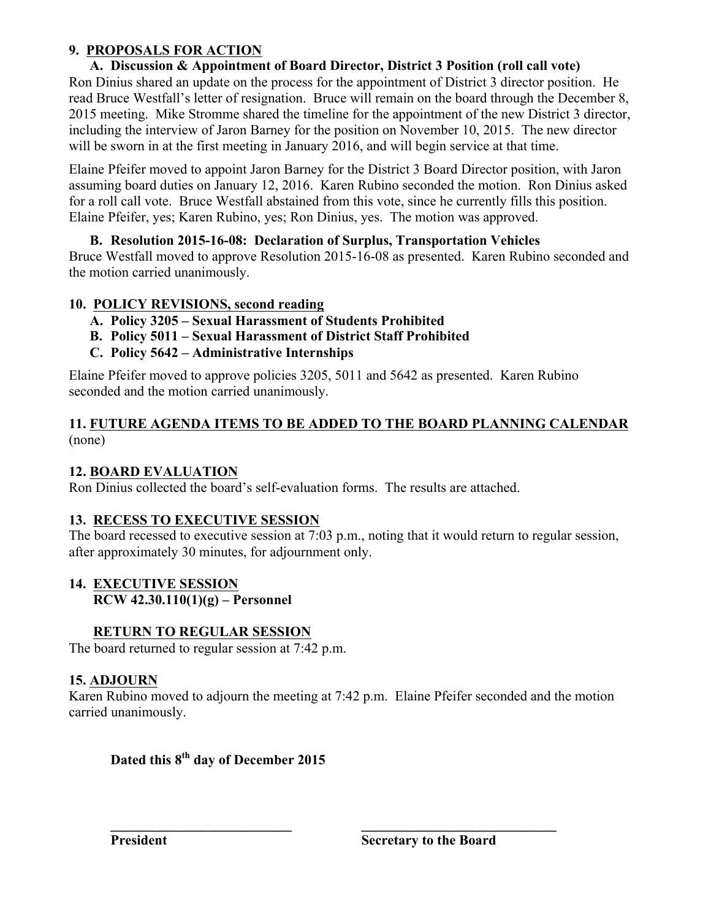### **9. PROPOSALS FOR ACTION**

### **A. Discussion & Appointment of Board Director, District 3 Position (roll call vote)**

Ron Dinius shared an update on the process for the appointment of District 3 director position. He read Bruce Westfall's letter of resignation. Bruce will remain on the board through the December 8, 2015 meeting. Mike Stromme shared the timeline for the appointment of the new District 3 director, including the interview of Jaron Barney for the position on November 10, 2015. The new director will be sworn in at the first meeting in January 2016, and will begin service at that time.

Elaine Pfeifer moved to appoint Jaron Barney for the District 3 Board Director position, with Jaron assuming board duties on January 12, 2016. Karen Rubino seconded the motion. Ron Dinius asked for a roll call vote. Bruce Westfall abstained from this vote, since he currently fills this position. Elaine Pfeifer, yes; Karen Rubino, yes; Ron Dinius, yes. The motion was approved.

### **B. Resolution 2015-16-08: Declaration of Surplus, Transportation Vehicles**

Bruce Westfall moved to approve Resolution 2015-16-08 as presented. Karen Rubino seconded and the motion carried unanimously.

### **10. POLICY REVISIONS, second reading**

- **A. Policy 3205 – Sexual Harassment of Students Prohibited**
- **B. Policy 5011 – Sexual Harassment of District Staff Prohibited**
- **C. Policy 5642 – Administrative Internships**

Elaine Pfeifer moved to approve policies 3205, 5011 and 5642 as presented. Karen Rubino seconded and the motion carried unanimously.

### **11. FUTURE AGENDA ITEMS TO BE ADDED TO THE BOARD PLANNING CALENDAR** (none)

### **12. BOARD EVALUATION**

Ron Dinius collected the board's self-evaluation forms. The results are attached.

### **13. RECESS TO EXECUTIVE SESSION**

The board recessed to executive session at 7:03 p.m., noting that it would return to regular session, after approximately 30 minutes, for adjournment only.

#### **14. EXECUTIVE SESSION RCW 42.30.110(1)(g) – Personnel**

### **RETURN TO REGULAR SESSION**

The board returned to regular session at 7:42 p.m.

### **15. ADJOURN**

Karen Rubino moved to adjourn the meeting at 7:42 p.m. Elaine Pfeifer seconded and the motion carried unanimously.

**\_\_\_\_\_\_\_\_\_\_\_\_\_\_\_\_\_\_\_\_\_\_\_\_\_\_ \_\_\_\_\_\_\_\_\_\_\_\_\_\_\_\_\_\_\_\_\_\_\_\_\_\_\_\_**

# **Dated this 8th day of December 2015**